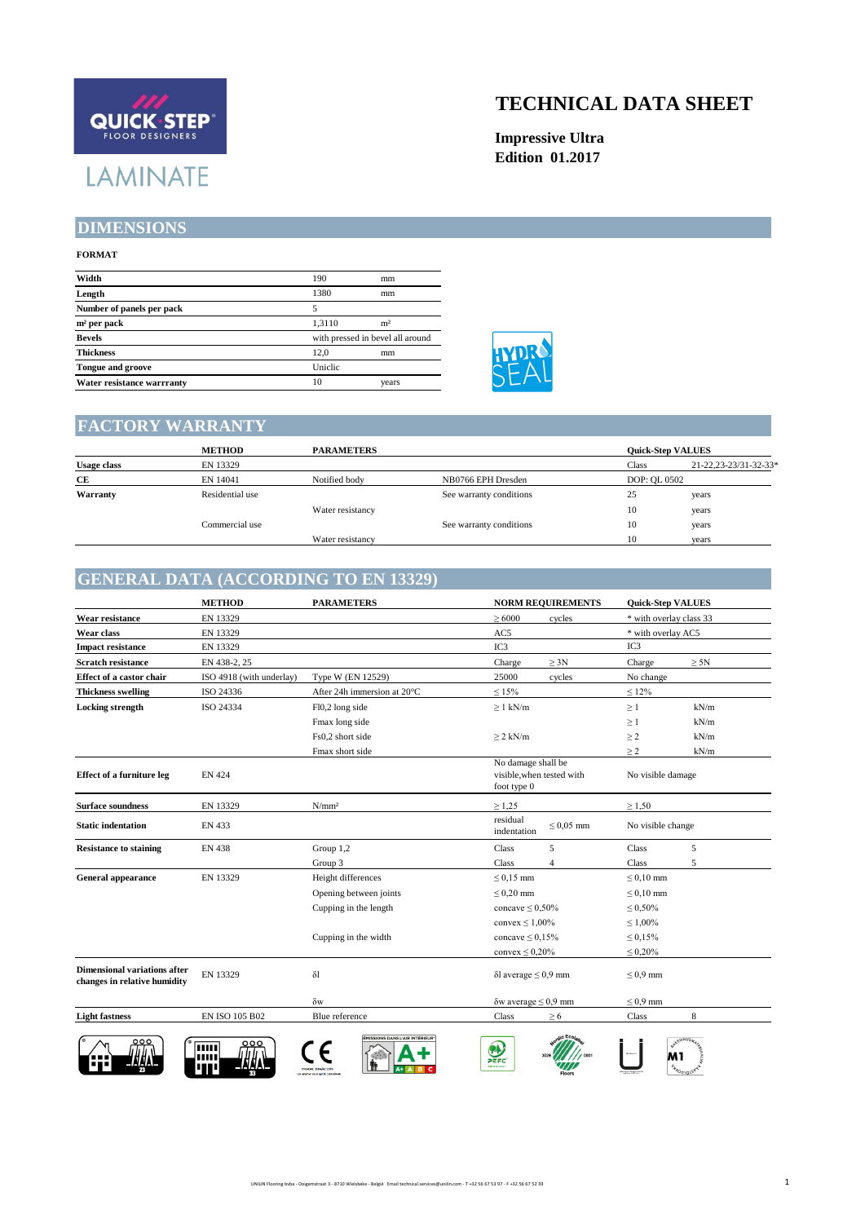# QUICK STEP **LAMINATE**

## **TECHNICAL DATA SHEET**

**Impressive Ultra Edition 01.2017**

#### **DIMENSIONS**

#### **FORMAT**

| Width                      | 190     | mm                               |  |  |
|----------------------------|---------|----------------------------------|--|--|
| Length                     | 1380    | mm                               |  |  |
| Number of panels per pack  |         |                                  |  |  |
| $m2$ per pack              | 1.3110  | m <sup>2</sup>                   |  |  |
| <b>Bevels</b>              |         | with pressed in bevel all around |  |  |
| <b>Thickness</b>           | 12.0    | mm                               |  |  |
| <b>Tongue and groove</b>   | Uniclic |                                  |  |  |
| Water resistance warrranty | 10      | years                            |  |  |



# **FACTORY WARRANTY**

|                    | <b>METHOD</b>   | <b>PARAMETERS</b> | <b>Ouick-Step VALUES</b> |              |                       |
|--------------------|-----------------|-------------------|--------------------------|--------------|-----------------------|
| <b>Usage class</b> | EN 13329        |                   |                          | Class        | 21-22,23-23/31-32-33* |
| СE                 | EN 14041        | Notified body     | NB0766 EPH Dresden       | DOP: OL 0502 |                       |
| Warranty           | Residential use |                   | See warranty conditions  | 25           | years                 |
|                    |                 | Water resistancy  |                          | 10           | years                 |
|                    | Commercial use  |                   | See warranty conditions  | 10           | years                 |
|                    |                 | Water resistancy  |                          | 10           | years                 |

#### **GENERAL DATA (ACCORDING TO EN 13329)**

|                                                                     | <b>METHOD</b>            | <b>PARAMETERS</b>                                          | <b>NORM REQUIREMENTS</b>                                         | <b>Quick-Step VALUES</b>       |
|---------------------------------------------------------------------|--------------------------|------------------------------------------------------------|------------------------------------------------------------------|--------------------------------|
| <b>Wear resistance</b>                                              | EN 13329                 |                                                            | >6000<br>cycles                                                  | * with overlay class 33        |
| Wear class                                                          | EN 13329                 |                                                            | AC5                                                              | * with overlay AC5             |
| <b>Impact resistance</b>                                            | EN 13329                 |                                                            | IC3                                                              | IC3                            |
| <b>Scratch resistance</b>                                           | EN 438-2, 25             |                                                            | $\geq 3N$<br>Charge                                              | Charge<br>$\geq 5N$            |
| Effect of a castor chair                                            | ISO 4918 (with underlay) | Type W (EN 12529)                                          | 25000<br>cycles                                                  | No change                      |
| <b>Thickness swelling</b>                                           | ISO 24336                | After 24h immersion at 20°C                                | $\leq 15\%$                                                      | $\leq 12\%$                    |
| <b>Locking strength</b>                                             | ISO 24334                | Fl0,2 long side                                            | $\geq 1$ kN/m                                                    | kN/m<br>$\geq$ 1               |
|                                                                     |                          | Fmax long side                                             |                                                                  | kN/m<br>$\geq 1$               |
|                                                                     |                          | Fs0.2 short side                                           | $> 2$ kN/m                                                       | $\geq$ 2<br>kN/m               |
|                                                                     |                          | Fmax short side                                            |                                                                  | >2<br>kN/m                     |
| <b>Effect of a furniture leg</b>                                    | <b>EN 424</b>            |                                                            | No damage shall be<br>visible, when tested with<br>foot type $0$ | No visible damage              |
| <b>Surface soundness</b>                                            | EN 13329                 | N/mm <sup>2</sup>                                          | $\geq 1,25$                                                      | $\geq 1,50$                    |
| <b>Static indentation</b>                                           | EN 433                   |                                                            | residual<br>$< 0.05$ mm<br>indentation                           | No visible change              |
| <b>Resistance to staining</b>                                       | <b>EN 438</b>            | Group 1,2                                                  | 5<br>Class                                                       | Class<br>5                     |
|                                                                     |                          | Group 3                                                    | Class<br>$\overline{4}$                                          | 5<br>Class                     |
| <b>General appearance</b>                                           | EN 13329                 | Height differences                                         | $\leq 0.15$ mm                                                   | $\leq 0.10$ mm                 |
|                                                                     |                          | Opening between joints                                     | $\leq 0.20$ mm                                                   | $\leq 0.10$ mm                 |
|                                                                     |                          | Cupping in the length                                      | concave $\leq 0,50\%$                                            | $\leq 0.50\%$                  |
|                                                                     |                          |                                                            | convex $\leq 1,00\%$                                             | $\leq 1,00\%$                  |
|                                                                     |                          | Cupping in the width                                       | concave $\leq 0.15\%$                                            | $\leq 0.15\%$                  |
|                                                                     |                          |                                                            | convex $\leq 0.20\%$                                             | $\leq 0.20\%$                  |
| <b>Dimensional variations after</b><br>changes in relative humidity | EN 13329                 | $\delta$ l                                                 | $\delta$ l average $\leq 0.9$ mm                                 | $\leq 0.9$ mm                  |
|                                                                     |                          | $\delta w$                                                 | $\delta w$ average $\leq 0.9$ mm                                 | $\leq 0.9$ mm                  |
| <b>Light fastness</b>                                               | EN ISO 105 B02           | Blue reference                                             | Class<br>$\geq 6$                                                | 8<br>Class                     |
| ooc                                                                 | 000<br> 11111            | MISSIONS DANS L'AIR INTÉRIEUR<br>Freighter, Freighter eine | $\bullet$<br>PEFC                                                | anti-trange<br><b>Sylomore</b> |